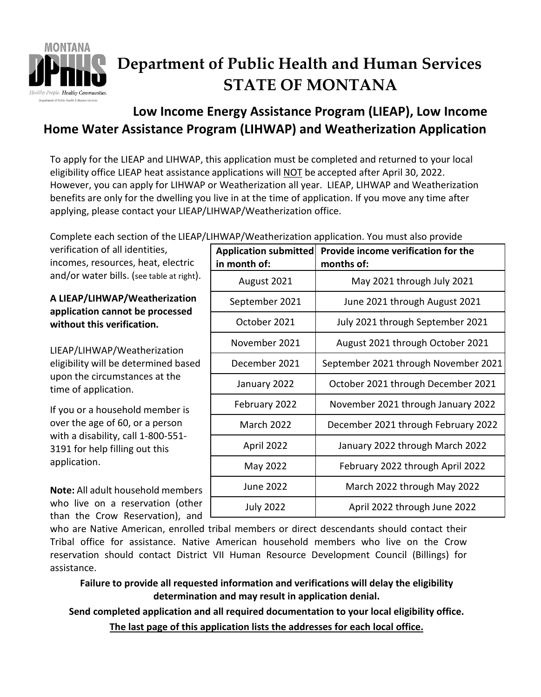

# **Department of Public Health and Human Services STATE OF MONTANA**

# **Low Income Energy Assistance Program (LIEAP), Low Income Home Water Assistance Program (LIHWAP) and Weatherization Application**

To apply for the LIEAP and LIHWAP, this application must be completed and returned to your local eligibility office LIEAP heat assistance applications will NOT be accepted after April 30, 2022. However, you can apply for LIHWAP or Weatherization all year. LIEAP, LIHWAP and Weatherization benefits are only for the dwelling you live in at the time of application. If you move any time after applying, please contact your LIEAP/LIHWAP/Weatherization office.

Complete each section of the LIEAP/LIHWAP/Weatherization annlication. You must also provide

verification of all identities, incomes, resources, heat, electric and/or water bills. (see table at right).

### **A LIEAP/LIHWAP/Weatherization application cannot be processed without this verification.**

LIEAP/LIHWAP/Weatherization eligibility will be determined based upon the circumstances at the time of application.

If you or a household member is over the age of 60, or a person with a disability, call 1-800-551- 3191 for help filling out this application.

**Note:** All adult household members who live on a reservation (other than the Crow Reservation), and

| <b>Application submitted</b><br>in month of: | Provide income verification for the<br>months of: |
|----------------------------------------------|---------------------------------------------------|
| August 2021                                  | May 2021 through July 2021                        |
| September 2021                               | June 2021 through August 2021                     |
| October 2021                                 | July 2021 through September 2021                  |
| November 2021                                | August 2021 through October 2021                  |
| December 2021                                | September 2021 through November 2021              |
| January 2022                                 | October 2021 through December 2021                |
| February 2022                                | November 2021 through January 2022                |
| <b>March 2022</b>                            | December 2021 through February 2022               |
| April 2022                                   | January 2022 through March 2022                   |
| May 2022                                     | February 2022 through April 2022                  |
| <b>June 2022</b>                             | March 2022 through May 2022                       |
| <b>July 2022</b>                             | April 2022 through June 2022                      |

who are Native American, enrolled tribal members or direct descendants should contact their Tribal office for assistance. Native American household members who live on the Crow reservation should contact District VII Human Resource Development Council (Billings) for assistance.

**Failure to provide all requested information and verifications will delay the eligibility determination and may result in application denial.**

**Send completed application and all required documentation to your local eligibility office. The last page of this application lists the addresses for each local office.**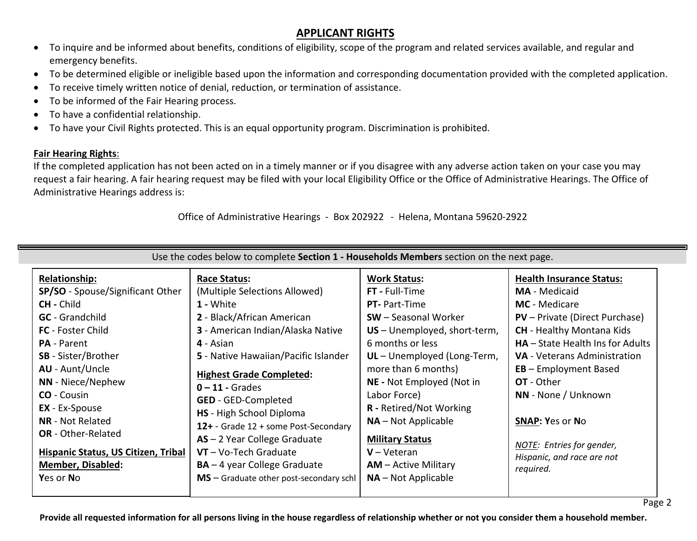# **APPLICANT RIGHTS**

- To inquire and be informed about benefits, conditions of eligibility, scope of the program and related services available, and regular and emergency benefits.
- To be determined eligible or ineligible based upon the information and corresponding documentation provided with the completed application.
- To receive timely written notice of denial, reduction, or termination of assistance.
- To be informed of the Fair Hearing process.
- To have a confidential relationship.
- To have your Civil Rights protected. This is an equal opportunity program. Discrimination is prohibited.

## **Fair Hearing Rights**:

If the completed application has not been acted on in a timely manner or if you disagree with any adverse action taken on your case you may request a fair hearing. A fair hearing request may be filed with your local Eligibility Office or the Office of Administrative Hearings. The Office of Administrative Hearings address is:

Office of Administrative Hearings - Box 202922 - Helena, Montana 59620-2922

| Use the codes below to complete Section 1 - Households Members section on the next page.                                                                                                                                                                                                                                                                                                                                      |                                                                                                                                                                                                                                                                                                                                                                                                                                                                                                        |                                                                                                                                                                                                                                                                                                                                                                                                               |                                                                                                                                                                                                                                                                                                                                                                                                                           |  |  |  |
|-------------------------------------------------------------------------------------------------------------------------------------------------------------------------------------------------------------------------------------------------------------------------------------------------------------------------------------------------------------------------------------------------------------------------------|--------------------------------------------------------------------------------------------------------------------------------------------------------------------------------------------------------------------------------------------------------------------------------------------------------------------------------------------------------------------------------------------------------------------------------------------------------------------------------------------------------|---------------------------------------------------------------------------------------------------------------------------------------------------------------------------------------------------------------------------------------------------------------------------------------------------------------------------------------------------------------------------------------------------------------|---------------------------------------------------------------------------------------------------------------------------------------------------------------------------------------------------------------------------------------------------------------------------------------------------------------------------------------------------------------------------------------------------------------------------|--|--|--|
| <b>Relationship:</b><br>SP/SO - Spouse/Significant Other<br><b>CH</b> - Child<br><b>GC</b> - Grandchild<br><b>FC</b> - Foster Child<br><b>PA</b> - Parent<br><b>SB</b> - Sister/Brother<br><b>AU</b> - Aunt/Uncle<br>NN - Niece/Nephew<br><b>CO</b> - Cousin<br><b>EX</b> - Ex-Spouse<br><b>NR</b> - Not Related<br><b>OR</b> - Other-Related<br>Hispanic Status, US Citizen, Tribal<br><b>Member, Disabled:</b><br>Yes or No | <b>Race Status:</b><br>(Multiple Selections Allowed)<br>1 - White<br>2 - Black/African American<br>3 - American Indian/Alaska Native<br>4 - Asian<br>5 - Native Hawaiian/Pacific Islander<br><b>Highest Grade Completed:</b><br>$0 - 11$ - Grades<br><b>GED</b> - GED-Completed<br><b>HS</b> - High School Diploma<br>12+ - Grade 12 + some Post-Secondary<br>$AS - 2$ Year College Graduate<br>$VT - Vo-Tech$ Graduate<br>$BA - 4$ year College Graduate<br>$MS -$ Graduate other post-secondary schl | <b>Work Status:</b><br>FT - Full-Time<br><b>PT-</b> Part-Time<br><b>SW</b> – Seasonal Worker<br>US - Unemployed, short-term,<br>6 months or less<br>UL - Unemployed (Long-Term,<br>more than 6 months)<br>NE - Not Employed (Not in<br>Labor Force)<br><b>R</b> - Retired/Not Working<br>$NA - Not Applicable$<br><b>Military Status</b><br>$V - V$ eteran<br>$AM - Active Military$<br>$NA - Not Applicable$ | <b>Health Insurance Status:</b><br><b>MA</b> - Medicaid<br><b>MC</b> - Medicare<br><b>PV</b> – Private (Direct Purchase)<br><b>CH</b> - Healthy Montana Kids<br>$HA - State Health$ Ins for Adults<br><b>VA</b> - Veterans Administration<br>$EB$ – Employment Based<br><b>OT</b> - Other<br>NN - None / Unknown<br><b>SNAP: Yes or No</b><br><b>NOTE:</b> Entries for gender,<br>Hispanic, and race are not<br>required. |  |  |  |

**Provide all requested information for all persons living in the house regardless of relationship whether or not you consider them a household member.**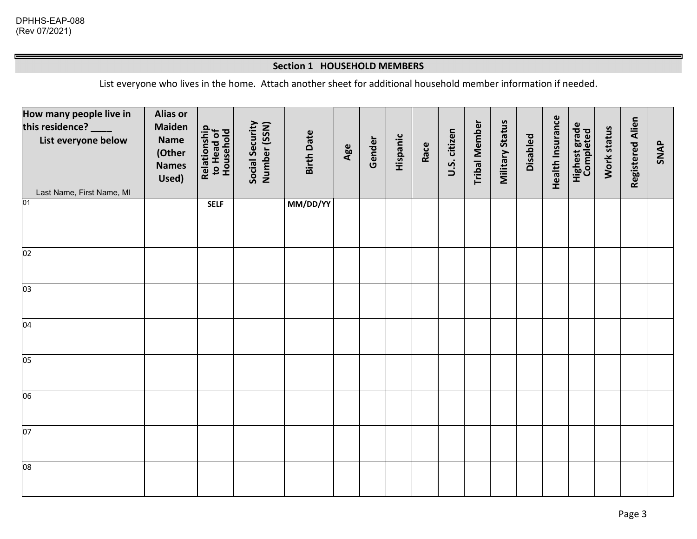#### **Section 1 HOUSEHOLD MEMBERS**

List everyone who lives in the home. Attach another sheet for additional household member information if needed.

| How many people live in<br>this residence?<br>List everyone below<br>Last Name, First Name, MI | <b>Alias or</b><br><b>Maiden</b><br><b>Name</b><br>(Other<br><b>Names</b><br>Used) | Relationship<br>to Head of<br>Household | Social Security<br>Number (SSN) | <b>Birth Date</b> | Age | Gender | Hispanic | Race | U.S. citizen | <b>Tribal Member</b> | <b>Military Status</b> | Disabled | Health Insurance | <b>Highest grade</b><br>Completed | Work status | Registered Alien | <b>SNAP</b> |
|------------------------------------------------------------------------------------------------|------------------------------------------------------------------------------------|-----------------------------------------|---------------------------------|-------------------|-----|--------|----------|------|--------------|----------------------|------------------------|----------|------------------|-----------------------------------|-------------|------------------|-------------|
| 01                                                                                             |                                                                                    | <b>SELF</b>                             |                                 | MM/DD/YY          |     |        |          |      |              |                      |                        |          |                  |                                   |             |                  |             |
| 02                                                                                             |                                                                                    |                                         |                                 |                   |     |        |          |      |              |                      |                        |          |                  |                                   |             |                  |             |
| 03                                                                                             |                                                                                    |                                         |                                 |                   |     |        |          |      |              |                      |                        |          |                  |                                   |             |                  |             |
| 04                                                                                             |                                                                                    |                                         |                                 |                   |     |        |          |      |              |                      |                        |          |                  |                                   |             |                  |             |
| 05                                                                                             |                                                                                    |                                         |                                 |                   |     |        |          |      |              |                      |                        |          |                  |                                   |             |                  |             |
| 06                                                                                             |                                                                                    |                                         |                                 |                   |     |        |          |      |              |                      |                        |          |                  |                                   |             |                  |             |
| 07                                                                                             |                                                                                    |                                         |                                 |                   |     |        |          |      |              |                      |                        |          |                  |                                   |             |                  |             |
| 08                                                                                             |                                                                                    |                                         |                                 |                   |     |        |          |      |              |                      |                        |          |                  |                                   |             |                  |             |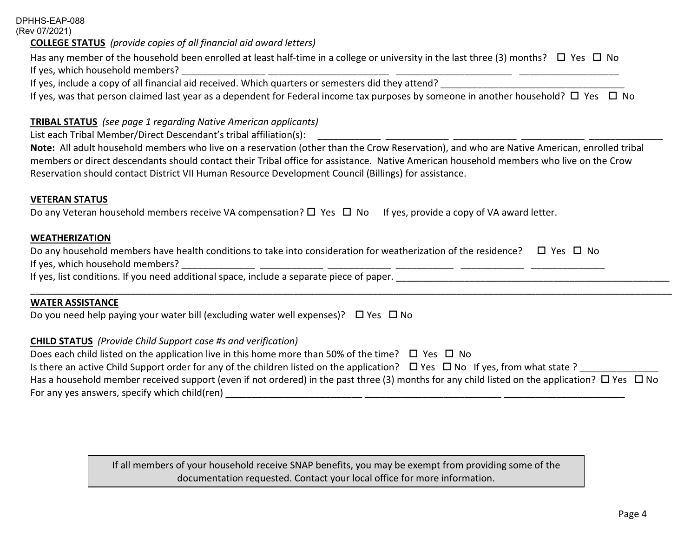#### DPHHS-EAP-088 (Rev 07/2021)

#### **COLLEGE STATUS** *(provide copies of all financial aid award letters)*

Has any member of the household been enrolled at least half-time in a college or university in the last three (3) months?  $\Box$  Yes  $\Box$  No If yes, which household members? \_\_\_\_\_\_\_\_\_\_\_\_\_\_\_\_ \_\_\_\_\_\_\_\_\_\_\_\_\_\_\_\_\_\_\_\_\_\_\_ \_\_\_\_\_\_\_\_\_\_\_\_\_\_\_\_\_\_\_\_\_\_ \_\_\_\_\_\_\_\_\_\_\_\_\_\_\_\_\_\_\_

If yes, include a copy of all financial aid received. Which quarters or semesters did they attend?

If yes, was that person claimed last year as a dependent for Federal income tax purposes by someone in another household?  $\Box$  Yes  $\Box$  No

#### **TRIBAL STATUS** *(see page 1 regarding Native American applicants)*

List each Tribal Member/Direct Descendant's tribal affiliation(s): \_\_\_\_\_\_\_\_\_\_\_\_ \_\_\_\_\_\_\_\_\_\_\_\_ \_\_\_\_\_\_\_\_\_\_\_\_ \_\_\_\_\_\_\_\_\_\_\_\_ \_\_\_\_\_\_\_\_\_\_\_\_\_\_

**Note:** All adult household members who live on a reservation (other than the Crow Reservation), and who are Native American, enrolled tribal members or direct descendants should contact their Tribal office for assistance. Native American household members who live on the Crow Reservation should contact District VII Human Resource Development Council (Billings) for assistance.

#### **VETERAN STATUS**

Do any Veteran household members receive VA compensation?  $\Box$  Yes  $\Box$  No If yes, provide a copy of VA award letter.

#### **WEATHERIZATION**

| Do any household members have health conditions to take into consideration for weatherization of the residence? $\square$ Yes $\square$ No |  |
|--------------------------------------------------------------------------------------------------------------------------------------------|--|
| If yes, which household members?                                                                                                           |  |

If yes, list conditions. If you need additional space, include a separate piece of paper.

#### **WATER ASSISTANCE**

Do you need help paying your water bill (excluding water well expenses)?  $\Box$  Yes  $\Box$  No

#### **CHILD STATUS** *(Provide Child Support case #s and verification)*

Does each child listed on the application live in this home more than 50% of the time?  $\Box$  Yes  $\Box$  No Is there an active Child Support order for any of the children listed on the application?  $\Box$  Yes  $\Box$  No If yes, from what state ? Has a household member received support (even if not ordered) in the past three (3) months for any child listed on the application?  $\Box$  Yes  $\Box$  No For any yes answers, specify which child(ren)  $\Box$ 

\_\_\_\_\_\_\_\_\_\_\_\_\_\_\_\_\_\_\_\_\_\_\_\_\_\_\_\_\_\_\_\_\_\_\_\_\_\_\_\_\_\_\_\_\_\_\_\_\_\_\_\_\_\_\_\_\_\_\_\_\_\_\_\_\_\_\_\_\_\_\_\_\_\_\_\_\_\_\_\_\_\_\_\_\_\_\_\_\_\_\_\_\_\_\_\_\_\_\_\_\_\_\_\_\_\_\_\_\_\_\_\_\_\_\_\_\_\_\_\_\_\_

If all members of your household receive SNAP benefits, you may be exempt from providing some of the documentation requested. Contact your local office for more information.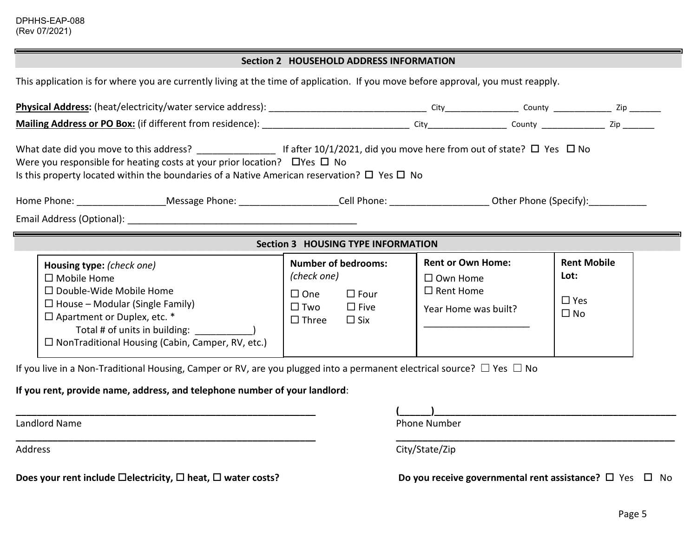### **Section 2 HOUSEHOLD ADDRESS INFORMATION**

This application is for where you are currently living at the time of application. If you move before approval, you must reapply.

| What date did you move to this address? If after 10/1/2021, did you move here from out of state? $\Box$ Yes $\Box$ No<br>Were you responsible for heating costs at your prior location? $\Box$ Yes $\Box$ No<br>Is this property located within the boundaries of a Native American reservation? $\Box$ Yes $\Box$ No<br>Home Phone: _______________________Message Phone: ________________________Cell Phone: ________________________ Other Phone (Specify): _______________ |                                                                                                                                               |                                                                                         |                                                       |  |  |  |
|--------------------------------------------------------------------------------------------------------------------------------------------------------------------------------------------------------------------------------------------------------------------------------------------------------------------------------------------------------------------------------------------------------------------------------------------------------------------------------|-----------------------------------------------------------------------------------------------------------------------------------------------|-----------------------------------------------------------------------------------------|-------------------------------------------------------|--|--|--|
|                                                                                                                                                                                                                                                                                                                                                                                                                                                                                |                                                                                                                                               |                                                                                         |                                                       |  |  |  |
|                                                                                                                                                                                                                                                                                                                                                                                                                                                                                |                                                                                                                                               |                                                                                         |                                                       |  |  |  |
|                                                                                                                                                                                                                                                                                                                                                                                                                                                                                | <b>Section 3 HOUSING TYPE INFORMATION</b>                                                                                                     |                                                                                         |                                                       |  |  |  |
| Housing type: (check one)<br>$\Box$ Mobile Home<br>$\Box$ Double-Wide Mobile Home<br>$\Box$ House – Modular (Single Family)<br>$\Box$ Apartment or Duplex, etc. *<br>Total # of units in building:<br>$\Box$ NonTraditional Housing (Cabin, Camper, RV, etc.)                                                                                                                                                                                                                  | <b>Number of bedrooms:</b><br>(check one)<br>$\Box$ One<br>$\square$ Four<br>$\square$ Two<br>$\square$ Five<br>$\square$ Three<br>$\Box$ Six | <b>Rent or Own Home:</b><br>$\Box$ Own Home<br>$\Box$ Rent Home<br>Year Home was built? | <b>Rent Mobile</b><br>Lot:<br>$\Box$ Yes<br>$\Box$ No |  |  |  |
| If you live in a Non-Traditional Housing, Camper or RV, are you plugged into a permanent electrical source? $\Box$ Yes $\Box$ No                                                                                                                                                                                                                                                                                                                                               |                                                                                                                                               |                                                                                         |                                                       |  |  |  |
| If you rent, provide name, address, and telephone number of your landlord:                                                                                                                                                                                                                                                                                                                                                                                                     |                                                                                                                                               |                                                                                         |                                                       |  |  |  |
|                                                                                                                                                                                                                                                                                                                                                                                                                                                                                |                                                                                                                                               |                                                                                         |                                                       |  |  |  |
| Landlord Name                                                                                                                                                                                                                                                                                                                                                                                                                                                                  |                                                                                                                                               | <b>Phone Number</b>                                                                     |                                                       |  |  |  |
| <b>Address</b>                                                                                                                                                                                                                                                                                                                                                                                                                                                                 |                                                                                                                                               | City/State/Zip                                                                          |                                                       |  |  |  |
| Does your rent include $\Box$ electricity, $\Box$ heat, $\Box$ water costs?                                                                                                                                                                                                                                                                                                                                                                                                    |                                                                                                                                               | Do you receive governmental rent assistance? $\square$ Yes $\square$ No                 |                                                       |  |  |  |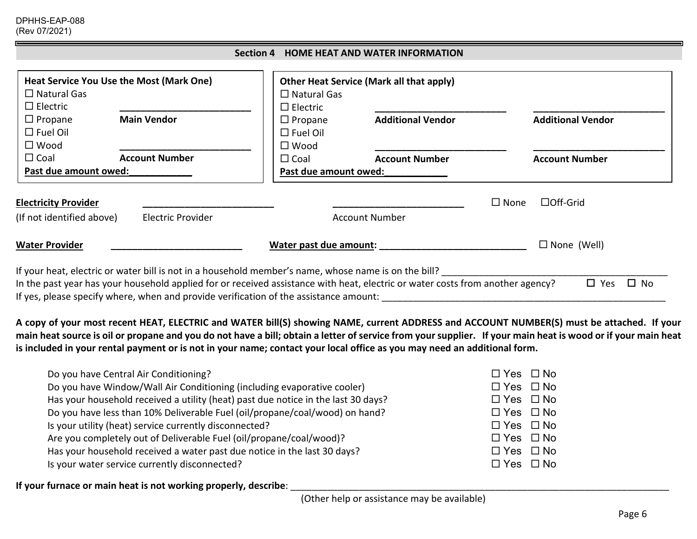DPHHS-EAP-088 (Rev 07/2021)

|                                                     |                                                                                                      |                                                     | Section 4 HOME HEAT AND WATER INFORMATION                                                                      |                                |
|-----------------------------------------------------|------------------------------------------------------------------------------------------------------|-----------------------------------------------------|----------------------------------------------------------------------------------------------------------------|--------------------------------|
| $\Box$ Natural Gas<br>$\Box$ Electric               | Heat Service You Use the Most (Mark One)                                                             | $\Box$ Natural Gas<br>$\Box$ Electric               | <b>Other Heat Service (Mark all that apply)</b>                                                                |                                |
| $\Box$ Propane<br>$\Box$ Fuel Oil<br>$\square$ Wood | <b>Main Vendor</b>                                                                                   | $\Box$ Propane<br>$\Box$ Fuel Oil<br>$\square$ Wood | <b>Additional Vendor</b>                                                                                       | <b>Additional Vendor</b>       |
| $\Box$ Coal<br>Past due amount owed:                | <b>Account Number</b>                                                                                | $\Box$ Coal<br>Past due amount owed:                | <b>Account Number</b>                                                                                          | <b>Account Number</b>          |
| <b>Electricity Provider</b>                         |                                                                                                      |                                                     |                                                                                                                | $\Box$ Off-Grid<br>$\Box$ None |
| (If not identified above)                           | <b>Electric Provider</b>                                                                             |                                                     | <b>Account Number</b>                                                                                          |                                |
| <b>Water Provider</b>                               |                                                                                                      | Water past due amount:                              |                                                                                                                | $\Box$ None (Well)             |
|                                                     | If your heat, electric or water bill is not in a household member's name, whose name is on the bill? |                                                     | . Cusassa wadana waa dagaala dadka dagaala dagaan dadka waxa dadka dagaala dagaala dagaan dagaan dagaan dagaan | $\Box$<br>$\Box$ $\vee$ $\sim$ |

In the past year has your household applied for or received assistance with heat, electric or water costs from another agency?  $\Box$  Yes  $\Box$  No If yes, please specify where, when and provide verification of the assistance amount: \_\_\_\_\_\_\_\_\_\_\_\_\_\_\_\_\_\_\_\_\_\_\_\_\_\_\_\_\_\_\_\_\_\_\_\_\_\_\_\_\_\_\_\_\_\_\_\_\_\_\_\_\_\_

**A copy of your most recent HEAT, ELECTRIC and WATER bill(S) showing NAME, current ADDRESS and ACCOUNT NUMBER(S) must be attached. If your main heat source is oil or propane and you do not have a bill; obtain a letter of service from your supplier. If your main heat is wood or if your main heat is included in your rental payment or is not in your name; contact your local office as you may need an additional form.**

| Do you have Central Air Conditioning?                                             | $\Box$ Yes $\Box$ No |
|-----------------------------------------------------------------------------------|----------------------|
| Do you have Window/Wall Air Conditioning (including evaporative cooler)           | $\Box$ Yes $\Box$ No |
| Has your household received a utility (heat) past due notice in the last 30 days? | $\Box$ Yes $\Box$ No |
| Do you have less than 10% Deliverable Fuel (oil/propane/coal/wood) on hand?       | $\Box$ Yes $\Box$ No |
| Is your utility (heat) service currently disconnected?                            | $\Box$ Yes $\Box$ No |
| Are you completely out of Deliverable Fuel (oil/propane/coal/wood)?               | $\Box$ Yes $\Box$ No |
| Has your household received a water past due notice in the last 30 days?          | $\Box$ Yes $\Box$ No |
| Is your water service currently disconnected?                                     | $\Box$ Yes $\Box$ No |
|                                                                                   |                      |

If your furnace or main heat is not working properly, describe: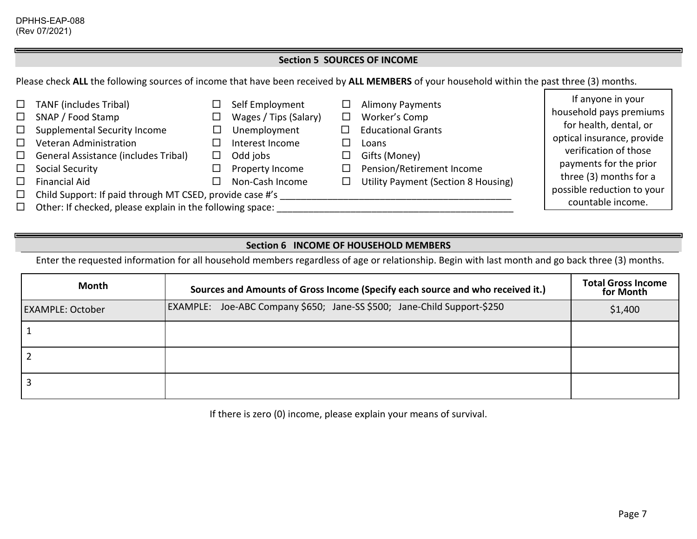#### **Section 5 SOURCES OF INCOME**

Please check **ALL** the following sources of income that have been received by **ALL MEMBERS** of your household within the past three (3) months.

| $\Box$<br>$\Box$<br>$\Box$ | <b>TANF</b> (includes Tribal)<br>SNAP / Food Stamp<br>Supplemental Security Income | Self Employment<br>Wages / Tips (Salary)<br>Unemployment | ப<br>□ - | <b>Alimony Payments</b><br>Worker's Comp<br><b>Educational Grants</b> | If anyone in your<br>household pays premiums<br>for health, dental, or |
|----------------------------|------------------------------------------------------------------------------------|----------------------------------------------------------|----------|-----------------------------------------------------------------------|------------------------------------------------------------------------|
|                            | Veteran Administration                                                             | Interest Income                                          |          | Loans                                                                 | optical insurance, provide                                             |
| $\Box$                     | General Assistance (includes Tribal)                                               | Odd jobs                                                 |          | Gifts (Money)                                                         | verification of those                                                  |
| $\Box$                     | Social Security                                                                    | Property Income                                          |          | Pension/Retirement Income                                             | payments for the prior                                                 |
|                            | <b>Financial Aid</b>                                                               | Non-Cash Income                                          |          | Utility Payment (Section 8 Housing)                                   | three (3) months for a                                                 |
| $\Box$                     | Child Support: If paid through MT CSED, provide case #'s                           | possible reduction to your                               |          |                                                                       |                                                                        |
| $\Box$                     | Other: If checked, please explain in the following space:                          | countable income.                                        |          |                                                                       |                                                                        |

### **Section 6 INCOME OF HOUSEHOLD MEMBERS**

Enter the requested information for all household members regardless of age or relationship. Begin with last month and go back three (3) months.

| Month                   | Sources and Amounts of Gross Income (Specify each source and who received it.) | <b>Total Gross Income</b><br>for Month |
|-------------------------|--------------------------------------------------------------------------------|----------------------------------------|
| <b>EXAMPLE: October</b> | EXAMPLE: Joe-ABC Company \$650; Jane-SS \$500; Jane-Child Support-\$250        | \$1,400                                |
|                         |                                                                                |                                        |
|                         |                                                                                |                                        |
|                         |                                                                                |                                        |

If there is zero (0) income, please explain your means of survival.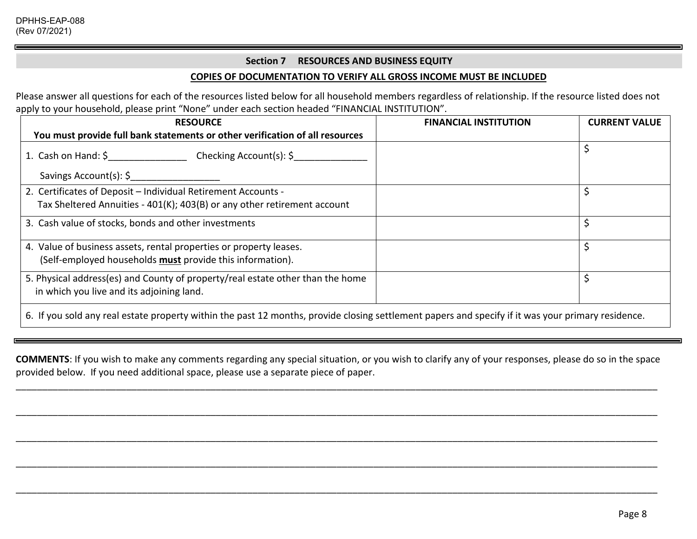#### **Section 7 RESOURCES AND BUSINESS EQUITY**

#### **COPIES OF DOCUMENTATION TO VERIFY ALL GROSS INCOME MUST BE INCLUDED**

Please answer all questions for each of the resources listed below for all household members regardless of relationship. If the resource listed does not apply to your household, please print "None" under each section headed "FINANCIAL INSTITUTION".

| <b>RESOURCE</b>                                                                                                                                    | <b>FINANCIAL INSTITUTION</b> | <b>CURRENT VALUE</b> |
|----------------------------------------------------------------------------------------------------------------------------------------------------|------------------------------|----------------------|
| You must provide full bank statements or other verification of all resources                                                                       |                              |                      |
| 1. Cash on Hand: \$ Checking Account(s): \$                                                                                                        |                              |                      |
| Savings Account(s): \$                                                                                                                             |                              |                      |
| 2. Certificates of Deposit - Individual Retirement Accounts -                                                                                      |                              |                      |
| Tax Sheltered Annuities - 401(K); 403(B) or any other retirement account                                                                           |                              |                      |
| 3. Cash value of stocks, bonds and other investments                                                                                               |                              |                      |
| 4. Value of business assets, rental properties or property leases.                                                                                 |                              |                      |
| (Self-employed households must provide this information).                                                                                          |                              |                      |
| 5. Physical address(es) and County of property/real estate other than the home                                                                     |                              |                      |
| in which you live and its adjoining land.                                                                                                          |                              |                      |
| 6. If you sold any real estate property within the past 12 months, provide closing settlement papers and specify if it was your primary residence. |                              |                      |

**COMMENTS**: If you wish to make any comments regarding any special situation, or you wish to clarify any of your responses, please do so in the space provided below. If you need additional space, please use a separate piece of paper.

\_\_\_\_\_\_\_\_\_\_\_\_\_\_\_\_\_\_\_\_\_\_\_\_\_\_\_\_\_\_\_\_\_\_\_\_\_\_\_\_\_\_\_\_\_\_\_\_\_\_\_\_\_\_\_\_\_\_\_\_\_\_\_\_\_\_\_\_\_\_\_\_\_\_\_\_\_\_\_\_\_\_\_\_\_\_\_\_\_\_\_\_\_\_\_\_\_\_\_\_\_\_\_\_\_\_\_\_\_\_\_\_\_\_\_\_\_\_\_\_\_\_

\_\_\_\_\_\_\_\_\_\_\_\_\_\_\_\_\_\_\_\_\_\_\_\_\_\_\_\_\_\_\_\_\_\_\_\_\_\_\_\_\_\_\_\_\_\_\_\_\_\_\_\_\_\_\_\_\_\_\_\_\_\_\_\_\_\_\_\_\_\_\_\_\_\_\_\_\_\_\_\_\_\_\_\_\_\_\_\_\_\_\_\_\_\_\_\_\_\_\_\_\_\_\_\_\_\_\_\_\_\_\_\_\_\_\_\_\_\_\_\_\_\_

\_\_\_\_\_\_\_\_\_\_\_\_\_\_\_\_\_\_\_\_\_\_\_\_\_\_\_\_\_\_\_\_\_\_\_\_\_\_\_\_\_\_\_\_\_\_\_\_\_\_\_\_\_\_\_\_\_\_\_\_\_\_\_\_\_\_\_\_\_\_\_\_\_\_\_\_\_\_\_\_\_\_\_\_\_\_\_\_\_\_\_\_\_\_\_\_\_\_\_\_\_\_\_\_\_\_\_\_\_\_\_\_\_\_\_\_\_\_\_\_\_\_

\_\_\_\_\_\_\_\_\_\_\_\_\_\_\_\_\_\_\_\_\_\_\_\_\_\_\_\_\_\_\_\_\_\_\_\_\_\_\_\_\_\_\_\_\_\_\_\_\_\_\_\_\_\_\_\_\_\_\_\_\_\_\_\_\_\_\_\_\_\_\_\_\_\_\_\_\_\_\_\_\_\_\_\_\_\_\_\_\_\_\_\_\_\_\_\_\_\_\_\_\_\_\_\_\_\_\_\_\_\_\_\_\_\_\_\_\_\_\_\_\_\_

\_\_\_\_\_\_\_\_\_\_\_\_\_\_\_\_\_\_\_\_\_\_\_\_\_\_\_\_\_\_\_\_\_\_\_\_\_\_\_\_\_\_\_\_\_\_\_\_\_\_\_\_\_\_\_\_\_\_\_\_\_\_\_\_\_\_\_\_\_\_\_\_\_\_\_\_\_\_\_\_\_\_\_\_\_\_\_\_\_\_\_\_\_\_\_\_\_\_\_\_\_\_\_\_\_\_\_\_\_\_\_\_\_\_\_\_\_\_\_\_\_\_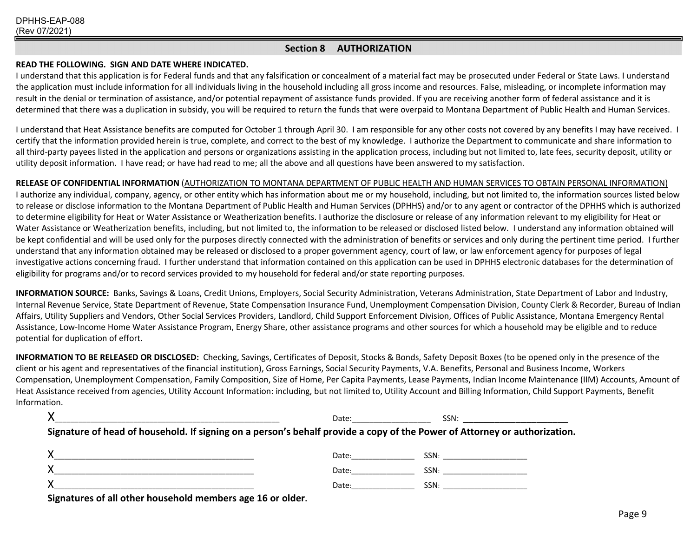#### **Section 8 AUTHORIZATION**

#### **READ THE FOLLOWING. SIGN AND DATE WHERE INDICATED.**

I understand that this application is for Federal funds and that any falsification or concealment of a material fact may be prosecuted under Federal or State Laws. I understand the application must include information for all individuals living in the household including all gross income and resources. False, misleading, or incomplete information may result in the denial or termination of assistance, and/or potential repayment of assistance funds provided. If you are receiving another form of federal assistance and it is determined that there was a duplication in subsidy, you will be required to return the funds that were overpaid to Montana Department of Public Health and Human Services.

I understand that Heat Assistance benefits are computed for October 1 through April 30. I am responsible for any other costs not covered by any benefits I may have received. I certify that the information provided herein is true, complete, and correct to the best of my knowledge. I authorize the Department to communicate and share information to all third-party payees listed in the application and persons or organizations assisting in the application process, including but not limited to, late fees, security deposit, utility or utility deposit information. I have read; or have had read to me; all the above and all questions have been answered to my satisfaction.

#### **RELEASE OF CONFIDENTIAL INFORMATION** (AUTHORIZATION TO MONTANA DEPARTMENT OF PUBLIC HEALTH AND HUMAN SERVICES TO OBTAIN PERSONAL INFORMATION)

I authorize any individual, company, agency, or other entity which has information about me or my household, including, but not limited to, the information sources listed below to release or disclose information to the Montana Department of Public Health and Human Services (DPHHS) and/or to any agent or contractor of the DPHHS which is authorized to determine eligibility for Heat or Water Assistance or Weatherization benefits. I authorize the disclosure or release of any information relevant to my eligibility for Heat or Water Assistance or Weatherization benefits, including, but not limited to, the information to be released or disclosed listed below. I understand any information obtained will be kept confidential and will be used only for the purposes directly connected with the administration of benefits or services and only during the pertinent time period. I further understand that any information obtained may be released or disclosed to a proper government agency, court of law, or law enforcement agency for purposes of legal investigative actions concerning fraud. I further understand that information contained on this application can be used in DPHHS electronic databases for the determination of eligibility for programs and/or to record services provided to my household for federal and/or state reporting purposes.

**INFORMATION SOURCE:** Banks, Savings & Loans, Credit Unions, Employers, Social Security Administration, Veterans Administration, State Department of Labor and Industry, Internal Revenue Service, State Department of Revenue, State Compensation Insurance Fund, Unemployment Compensation Division, County Clerk & Recorder, Bureau of Indian Affairs, Utility Suppliers and Vendors, Other Social Services Providers, Landlord, Child Support Enforcement Division, Offices of Public Assistance, Montana Emergency Rental Assistance, Low-Income Home Water Assistance Program, Energy Share, other assistance programs and other sources for which a household may be eligible and to reduce potential for duplication of effort.

**INFORMATION TO BE RELEASED OR DISCLOSED:** Checking, Savings, Certificates of Deposit, Stocks & Bonds, Safety Deposit Boxes (to be opened only in the presence of the client or his agent and representatives of the financial institution), Gross Earnings, Social Security Payments, V.A. Benefits, Personal and Business Income, Workers Compensation, Unemployment Compensation, Family Composition, Size of Home, Per Capita Payments, Lease Payments, Indian Income Maintenance (IIM) Accounts, Amount of Heat Assistance received from agencies, Utility Account Information: including, but not limited to, Utility Account and Billing Information, Child Support Payments, Benefit Information.

|                                                                                                                           | Date: ___________________                                                                                                                                                                                                      | SSN: ________________________                                                                                                                                                                                                  |  |
|---------------------------------------------------------------------------------------------------------------------------|--------------------------------------------------------------------------------------------------------------------------------------------------------------------------------------------------------------------------------|--------------------------------------------------------------------------------------------------------------------------------------------------------------------------------------------------------------------------------|--|
| Signature of head of household. If signing on a person's behalf provide a copy of the Power of Attorney or authorization. |                                                                                                                                                                                                                                |                                                                                                                                                                                                                                |  |
|                                                                                                                           |                                                                                                                                                                                                                                |                                                                                                                                                                                                                                |  |
|                                                                                                                           | Date:                                                                                                                                                                                                                          | SSN: the contract of the contract of the contract of the contract of the contract of the contract of the contract of the contract of the contract of the contract of the contract of the contract of the contract of the contr |  |
|                                                                                                                           | Date: the contract of the contract of the contract of the contract of the contract of the contract of the contract of the contract of the contract of the contract of the contract of the contract of the contract of the cont | SSN: the contract of the contract of the contract of the contract of the contract of the contract of the contract of the contract of the contract of the contract of the contract of the contract of the contract of the contr |  |
| Ciquatures of all other household mombars ago 1C availer                                                                  |                                                                                                                                                                                                                                |                                                                                                                                                                                                                                |  |

**Signatures of all other household members age 16 or older.**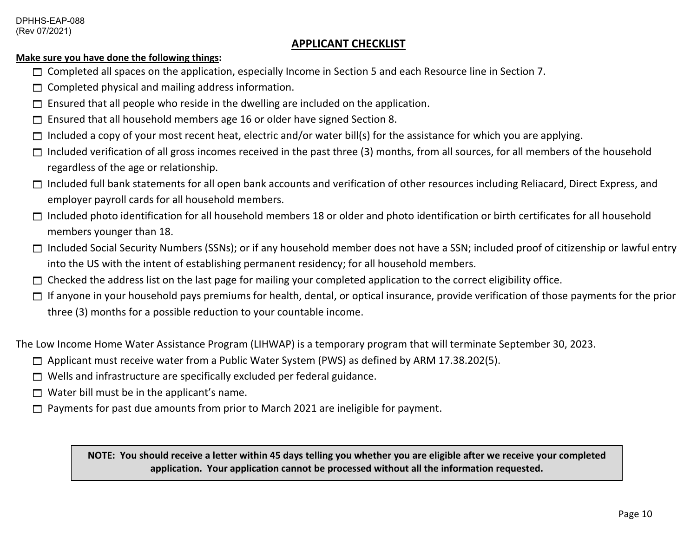### **APPLICANT CHECKLIST**

#### **Make sure you have done the following things:**

- $\Box$  Completed all spaces on the application, especially Income in Section 5 and each Resource line in Section 7.
- $\Box$  Completed physical and mailing address information.
- $\square$  Ensured that all people who reside in the dwelling are included on the application.
- $\Box$  Ensured that all household members age 16 or older have signed Section 8.
- $\Box$  Included a copy of your most recent heat, electric and/or water bill(s) for the assistance for which you are applying.
- $\Box$  Included verification of all gross incomes received in the past three (3) months, from all sources, for all members of the household regardless of the age or relationship.
- $\Box$  Included full bank statements for all open bank accounts and verification of other resources including Reliacard, Direct Express, and employer payroll cards for all household members.
- $\Box$  Included photo identification for all household members 18 or older and photo identification or birth certificates for all household members younger than 18.
- □ Included Social Security Numbers (SSNs); or if any household member does not have a SSN; included proof of citizenship or lawful entry into the US with the intent of establishing permanent residency; for all household members.
- $\Box$  Checked the address list on the last page for mailing your completed application to the correct eligibility office.
- $\Box$  If anyone in your household pays premiums for health, dental, or optical insurance, provide verification of those payments for the prior three (3) months for a possible reduction to your countable income.

The Low Income Home Water Assistance Program (LIHWAP) is a temporary program that will terminate September 30, 2023.

- □ Applicant must receive water from a Public Water System (PWS) as defined by ARM 17.38.202(5).
- $\Box$  Wells and infrastructure are specifically excluded per federal guidance.
- $\Box$  Water bill must be in the applicant's name.
- $\Box$  Payments for past due amounts from prior to March 2021 are ineligible for payment.

**NOTE: You should receive a letter within 45 days telling you whether you are eligible after we receive your completed application. Your application cannot be processed without all the information requested.**